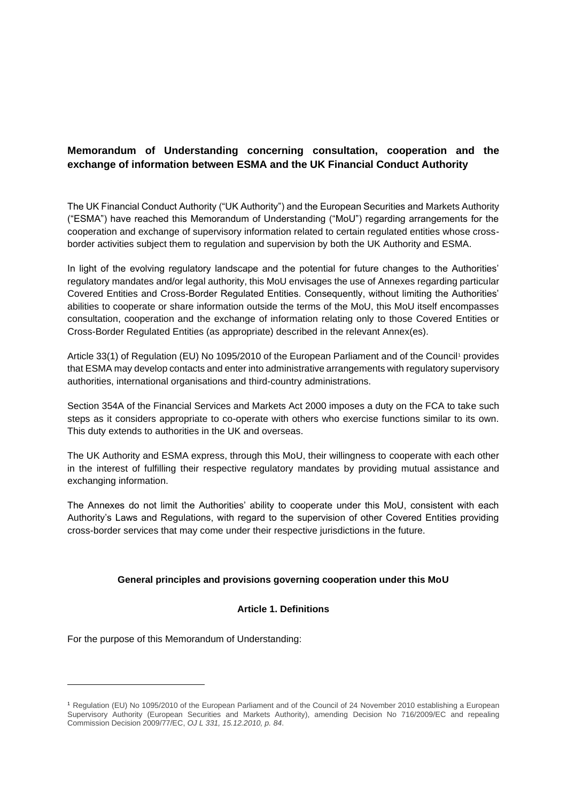## **Memorandum of Understanding concerning consultation, cooperation and the exchange of information between ESMA and the UK Financial Conduct Authority**

The UK Financial Conduct Authority ("UK Authority") and the European Securities and Markets Authority ("ESMA") have reached this Memorandum of Understanding ("MoU") regarding arrangements for the cooperation and exchange of supervisory information related to certain regulated entities whose crossborder activities subject them to regulation and supervision by both the UK Authority and ESMA.

In light of the evolving regulatory landscape and the potential for future changes to the Authorities' regulatory mandates and/or legal authority, this MoU envisages the use of Annexes regarding particular Covered Entities and Cross-Border Regulated Entities. Consequently, without limiting the Authorities' abilities to cooperate or share information outside the terms of the MoU, this MoU itself encompasses consultation, cooperation and the exchange of information relating only to those Covered Entities or Cross-Border Regulated Entities (as appropriate) described in the relevant Annex(es).

Article 33(1) of Regulation (EU) No 1095/2010 of the European Parliament and of the Council<sup>1</sup> provides that ESMA may develop contacts and enter into administrative arrangements with regulatory supervisory authorities, international organisations and third-country administrations.

Section 354A of the Financial Services and Markets Act 2000 imposes a duty on the FCA to take such steps as it considers appropriate to co-operate with others who exercise functions similar to its own. This duty extends to authorities in the UK and overseas.

The UK Authority and ESMA express, through this MoU, their willingness to cooperate with each other in the interest of fulfilling their respective regulatory mandates by providing mutual assistance and exchanging information.

The Annexes do not limit the Authorities' ability to cooperate under this MoU, consistent with each Authority's Laws and Regulations, with regard to the supervision of other Covered Entities providing cross-border services that may come under their respective jurisdictions in the future.

### **General principles and provisions governing cooperation under this MoU**

#### **Article 1. Definitions**

For the purpose of this Memorandum of Understanding:

<sup>1</sup> Regulation (EU) No 1095/2010 of the European Parliament and of the Council of 24 November 2010 establishing a European Supervisory Authority (European Securities and Markets Authority), amending Decision No 716/2009/EC and repealing Commission Decision 2009/77/EC, *OJ L 331, 15.12.2010, p. 84*.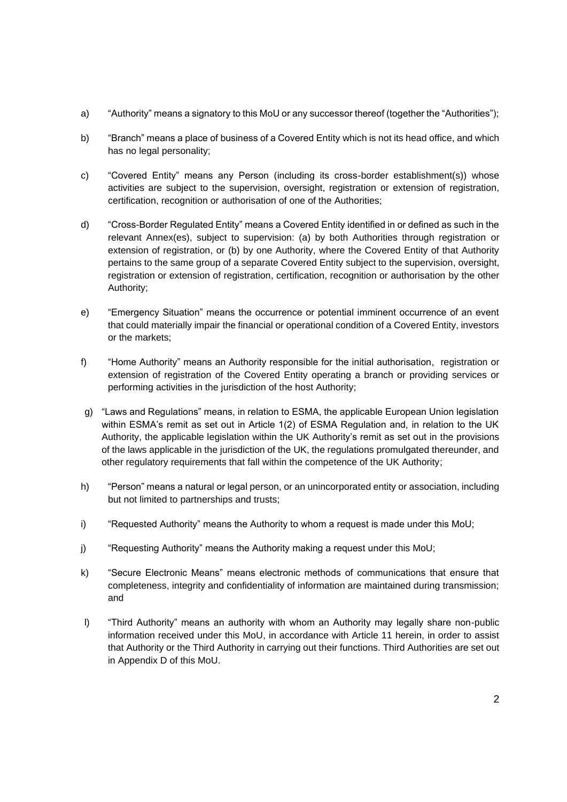- a) "Authority" means a signatory to this MoU or any successor thereof (together the "Authorities");
- b) "Branch" means a place of business of a Covered Entity which is not its head office, and which has no legal personality;
- c) "Covered Entity" means any Person (including its cross-border establishment(s)) whose activities are subject to the supervision, oversight, registration or extension of registration, certification, recognition or authorisation of one of the Authorities;
- d) "Cross-Border Regulated Entity" means a Covered Entity identified in or defined as such in the relevant Annex(es), subject to supervision: (a) by both Authorities through registration or extension of registration, or (b) by one Authority, where the Covered Entity of that Authority pertains to the same group of a separate Covered Entity subject to the supervision, oversight, registration or extension of registration, certification, recognition or authorisation by the other Authority;
- e) "Emergency Situation" means the occurrence or potential imminent occurrence of an event that could materially impair the financial or operational condition of a Covered Entity, investors or the markets;
- f) "Home Authority" means an Authority responsible for the initial authorisation, registration or extension of registration of the Covered Entity operating a branch or providing services or performing activities in the jurisdiction of the host Authority;
- g) "Laws and Regulations" means, in relation to ESMA, the applicable European Union legislation within ESMA's remit as set out in Article 1(2) of ESMA Regulation and, in relation to the UK Authority, the applicable legislation within the UK Authority's remit as set out in the provisions of the laws applicable in the jurisdiction of the UK, the regulations promulgated thereunder, and other regulatory requirements that fall within the competence of the UK Authority;
- h) "Person" means a natural or legal person, or an unincorporated entity or association, including but not limited to partnerships and trusts;
- i) "Requested Authority" means the Authority to whom a request is made under this MoU;
- j) "Requesting Authority" means the Authority making a request under this MoU;
- k) "Secure Electronic Means" means electronic methods of communications that ensure that completeness, integrity and confidentiality of information are maintained during transmission; and
- l) "Third Authority" means an authority with whom an Authority may legally share non-public information received under this MoU, in accordance with Article 11 herein, in order to assist that Authority or the Third Authority in carrying out their functions. Third Authorities are set out in Appendix D of this MoU.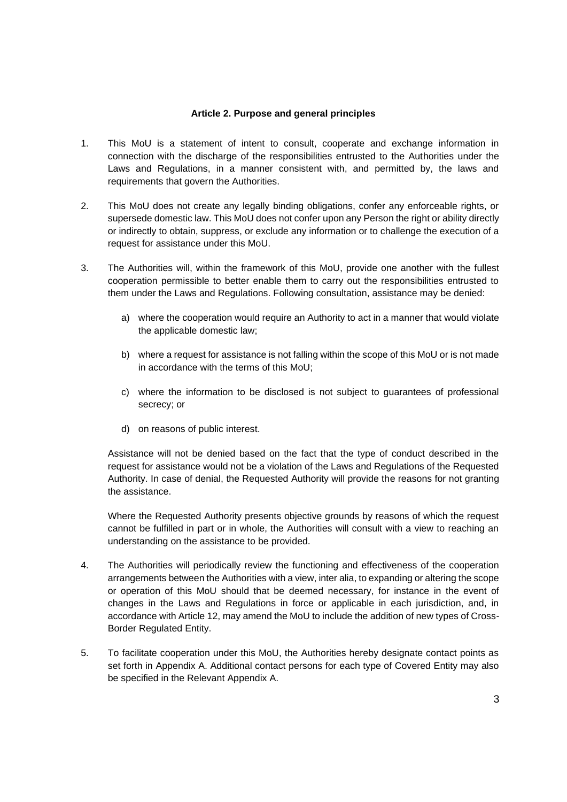#### **Article 2. Purpose and general principles**

- 1. This MoU is a statement of intent to consult, cooperate and exchange information in connection with the discharge of the responsibilities entrusted to the Authorities under the Laws and Regulations, in a manner consistent with, and permitted by, the laws and requirements that govern the Authorities.
- 2. This MoU does not create any legally binding obligations, confer any enforceable rights, or supersede domestic law. This MoU does not confer upon any Person the right or ability directly or indirectly to obtain, suppress, or exclude any information or to challenge the execution of a request for assistance under this MoU.
- 3. The Authorities will, within the framework of this MoU, provide one another with the fullest cooperation permissible to better enable them to carry out the responsibilities entrusted to them under the Laws and Regulations. Following consultation, assistance may be denied:
	- a) where the cooperation would require an Authority to act in a manner that would violate the applicable domestic law;
	- b) where a request for assistance is not falling within the scope of this MoU or is not made in accordance with the terms of this MoU;
	- c) where the information to be disclosed is not subject to guarantees of professional secrecy; or
	- d) on reasons of public interest.

Assistance will not be denied based on the fact that the type of conduct described in the request for assistance would not be a violation of the Laws and Regulations of the Requested Authority. In case of denial, the Requested Authority will provide the reasons for not granting the assistance.

Where the Requested Authority presents objective grounds by reasons of which the request cannot be fulfilled in part or in whole, the Authorities will consult with a view to reaching an understanding on the assistance to be provided.

- 4. The Authorities will periodically review the functioning and effectiveness of the cooperation arrangements between the Authorities with a view, inter alia, to expanding or altering the scope or operation of this MoU should that be deemed necessary, for instance in the event of changes in the Laws and Regulations in force or applicable in each jurisdiction, and, in accordance with Article 12, may amend the MoU to include the addition of new types of Cross-Border Regulated Entity.
- 5. To facilitate cooperation under this MoU, the Authorities hereby designate contact points as set forth in Appendix A. Additional contact persons for each type of Covered Entity may also be specified in the Relevant Appendix A.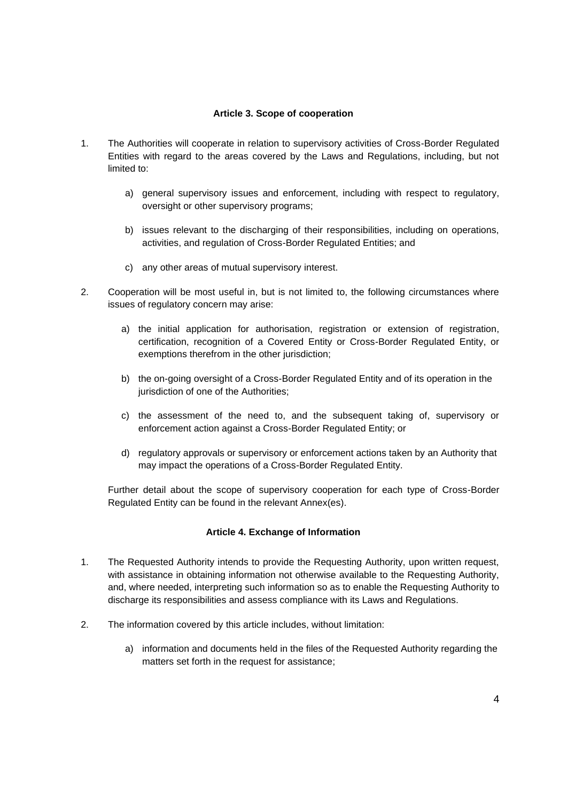#### **Article 3. Scope of cooperation**

- 1. The Authorities will cooperate in relation to supervisory activities of Cross-Border Regulated Entities with regard to the areas covered by the Laws and Regulations, including, but not limited to:
	- a) general supervisory issues and enforcement, including with respect to regulatory, oversight or other supervisory programs;
	- b) issues relevant to the discharging of their responsibilities, including on operations, activities, and regulation of Cross-Border Regulated Entities; and
	- c) any other areas of mutual supervisory interest.
- 2. Cooperation will be most useful in, but is not limited to, the following circumstances where issues of regulatory concern may arise:
	- a) the initial application for authorisation, registration or extension of registration, certification, recognition of a Covered Entity or Cross-Border Regulated Entity, or exemptions therefrom in the other jurisdiction;
	- b) the on-going oversight of a Cross-Border Regulated Entity and of its operation in the jurisdiction of one of the Authorities;
	- c) the assessment of the need to, and the subsequent taking of, supervisory or enforcement action against a Cross-Border Regulated Entity; or
	- d) regulatory approvals or supervisory or enforcement actions taken by an Authority that may impact the operations of a Cross-Border Regulated Entity.

Further detail about the scope of supervisory cooperation for each type of Cross-Border Regulated Entity can be found in the relevant Annex(es).

#### **Article 4. Exchange of Information**

- 1. The Requested Authority intends to provide the Requesting Authority, upon written request, with assistance in obtaining information not otherwise available to the Requesting Authority, and, where needed, interpreting such information so as to enable the Requesting Authority to discharge its responsibilities and assess compliance with its Laws and Regulations.
- 2. The information covered by this article includes, without limitation:
	- a) information and documents held in the files of the Requested Authority regarding the matters set forth in the request for assistance;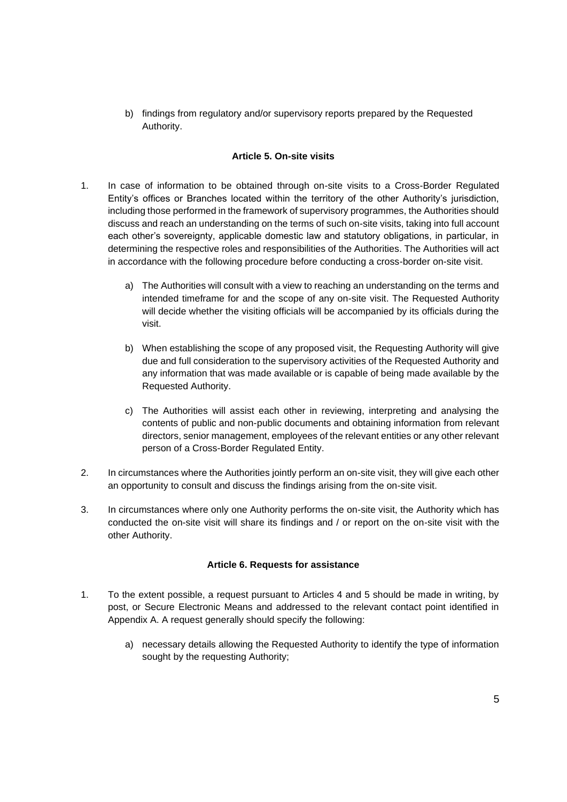b) findings from regulatory and/or supervisory reports prepared by the Requested Authority.

#### **Article 5. On-site visits**

- 1. In case of information to be obtained through on-site visits to a Cross-Border Regulated Entity's offices or Branches located within the territory of the other Authority's jurisdiction, including those performed in the framework of supervisory programmes, the Authorities should discuss and reach an understanding on the terms of such on-site visits, taking into full account each other's sovereignty, applicable domestic law and statutory obligations, in particular, in determining the respective roles and responsibilities of the Authorities. The Authorities will act in accordance with the following procedure before conducting a cross-border on-site visit.
	- a) The Authorities will consult with a view to reaching an understanding on the terms and intended timeframe for and the scope of any on-site visit. The Requested Authority will decide whether the visiting officials will be accompanied by its officials during the visit.
	- b) When establishing the scope of any proposed visit, the Requesting Authority will give due and full consideration to the supervisory activities of the Requested Authority and any information that was made available or is capable of being made available by the Requested Authority.
	- c) The Authorities will assist each other in reviewing, interpreting and analysing the contents of public and non-public documents and obtaining information from relevant directors, senior management, employees of the relevant entities or any other relevant person of a Cross-Border Regulated Entity.
- 2. In circumstances where the Authorities jointly perform an on-site visit, they will give each other an opportunity to consult and discuss the findings arising from the on-site visit.
- 3. In circumstances where only one Authority performs the on-site visit, the Authority which has conducted the on-site visit will share its findings and / or report on the on-site visit with the other Authority.

#### **Article 6. Requests for assistance**

- 1. To the extent possible, a request pursuant to Articles 4 and 5 should be made in writing, by post, or Secure Electronic Means and addressed to the relevant contact point identified in Appendix A. A request generally should specify the following:
	- a) necessary details allowing the Requested Authority to identify the type of information sought by the requesting Authority;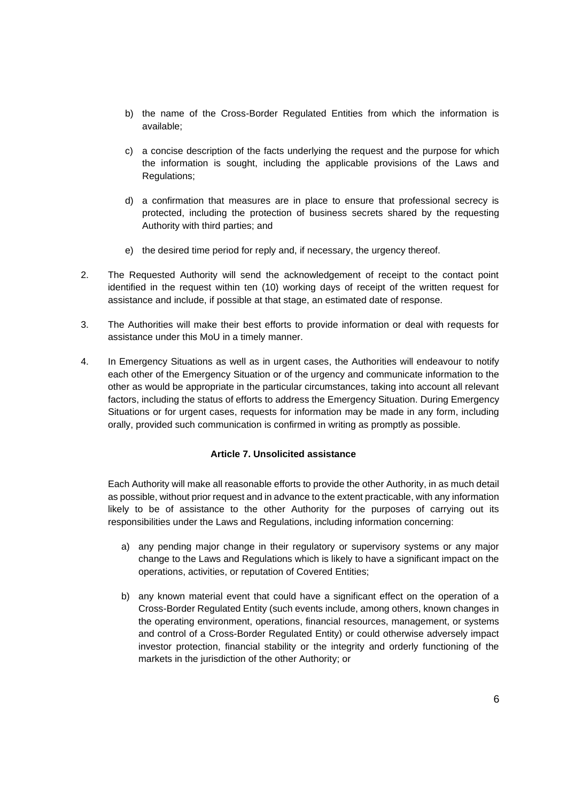- b) the name of the Cross-Border Regulated Entities from which the information is available;
- c) a concise description of the facts underlying the request and the purpose for which the information is sought, including the applicable provisions of the Laws and Regulations;
- d) a confirmation that measures are in place to ensure that professional secrecy is protected, including the protection of business secrets shared by the requesting Authority with third parties; and
- e) the desired time period for reply and, if necessary, the urgency thereof.
- 2. The Requested Authority will send the acknowledgement of receipt to the contact point identified in the request within ten (10) working days of receipt of the written request for assistance and include, if possible at that stage, an estimated date of response.
- 3. The Authorities will make their best efforts to provide information or deal with requests for assistance under this MoU in a timely manner.
- 4. In Emergency Situations as well as in urgent cases, the Authorities will endeavour to notify each other of the Emergency Situation or of the urgency and communicate information to the other as would be appropriate in the particular circumstances, taking into account all relevant factors, including the status of efforts to address the Emergency Situation. During Emergency Situations or for urgent cases, requests for information may be made in any form, including orally, provided such communication is confirmed in writing as promptly as possible.

#### **Article 7. Unsolicited assistance**

Each Authority will make all reasonable efforts to provide the other Authority, in as much detail as possible, without prior request and in advance to the extent practicable, with any information likely to be of assistance to the other Authority for the purposes of carrying out its responsibilities under the Laws and Regulations, including information concerning:

- a) any pending major change in their regulatory or supervisory systems or any major change to the Laws and Regulations which is likely to have a significant impact on the operations, activities, or reputation of Covered Entities;
- b) any known material event that could have a significant effect on the operation of a Cross-Border Regulated Entity (such events include, among others, known changes in the operating environment, operations, financial resources, management, or systems and control of a Cross-Border Regulated Entity) or could otherwise adversely impact investor protection, financial stability or the integrity and orderly functioning of the markets in the jurisdiction of the other Authority; or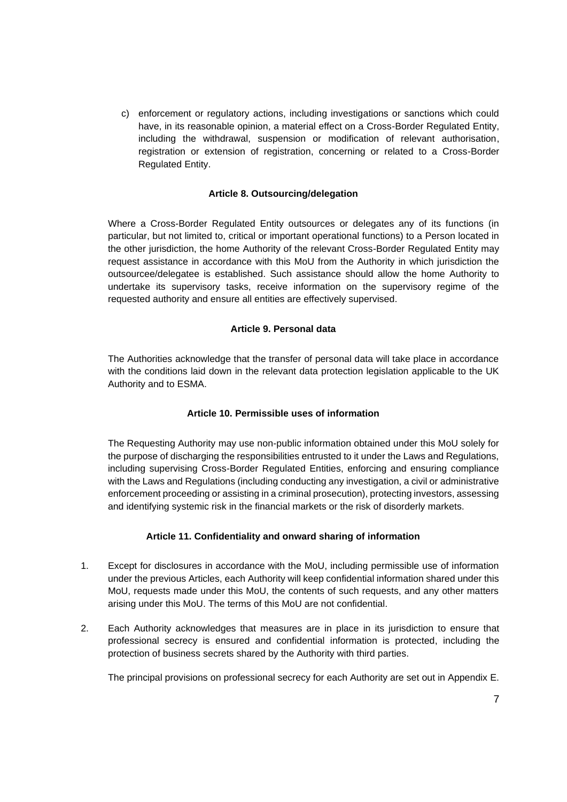c) enforcement or regulatory actions, including investigations or sanctions which could have, in its reasonable opinion, a material effect on a Cross-Border Regulated Entity, including the withdrawal, suspension or modification of relevant authorisation, registration or extension of registration, concerning or related to a Cross-Border Regulated Entity.

#### **Article 8. Outsourcing/delegation**

Where a Cross-Border Regulated Entity outsources or delegates any of its functions (in particular, but not limited to, critical or important operational functions) to a Person located in the other jurisdiction, the home Authority of the relevant Cross-Border Regulated Entity may request assistance in accordance with this MoU from the Authority in which jurisdiction the outsourcee/delegatee is established. Such assistance should allow the home Authority to undertake its supervisory tasks, receive information on the supervisory regime of the requested authority and ensure all entities are effectively supervised.

#### **Article 9. Personal data**

The Authorities acknowledge that the transfer of personal data will take place in accordance with the conditions laid down in the relevant data protection legislation applicable to the UK Authority and to ESMA.

#### **Article 10. Permissible uses of information**

The Requesting Authority may use non-public information obtained under this MoU solely for the purpose of discharging the responsibilities entrusted to it under the Laws and Regulations, including supervising Cross-Border Regulated Entities, enforcing and ensuring compliance with the Laws and Regulations (including conducting any investigation, a civil or administrative enforcement proceeding or assisting in a criminal prosecution), protecting investors, assessing and identifying systemic risk in the financial markets or the risk of disorderly markets.

#### **Article 11. Confidentiality and onward sharing of information**

- 1. Except for disclosures in accordance with the MoU, including permissible use of information under the previous Articles, each Authority will keep confidential information shared under this MoU, requests made under this MoU, the contents of such requests, and any other matters arising under this MoU. The terms of this MoU are not confidential.
- 2. Each Authority acknowledges that measures are in place in its jurisdiction to ensure that professional secrecy is ensured and confidential information is protected, including the protection of business secrets shared by the Authority with third parties.

The principal provisions on professional secrecy for each Authority are set out in Appendix E.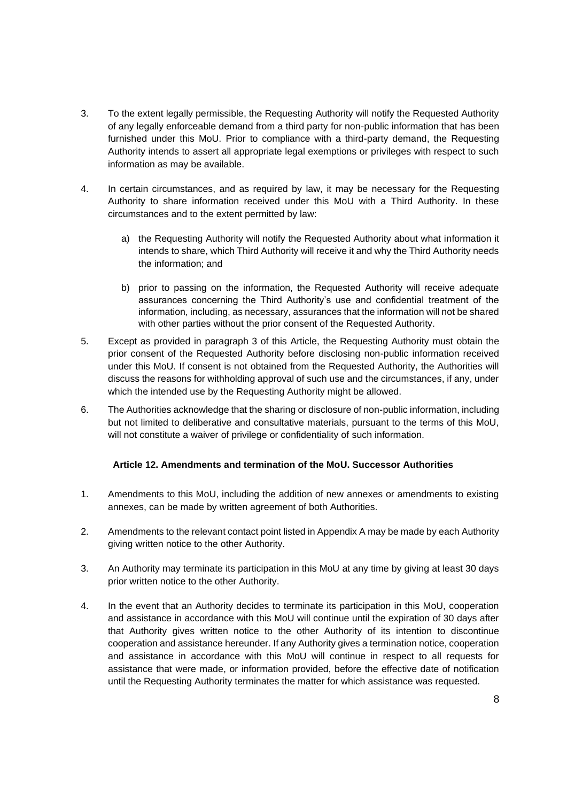- 3. To the extent legally permissible, the Requesting Authority will notify the Requested Authority of any legally enforceable demand from a third party for non-public information that has been furnished under this MoU. Prior to compliance with a third-party demand, the Requesting Authority intends to assert all appropriate legal exemptions or privileges with respect to such information as may be available.
- 4. In certain circumstances, and as required by law, it may be necessary for the Requesting Authority to share information received under this MoU with a Third Authority. In these circumstances and to the extent permitted by law:
	- a) the Requesting Authority will notify the Requested Authority about what information it intends to share, which Third Authority will receive it and why the Third Authority needs the information; and
	- b) prior to passing on the information, the Requested Authority will receive adequate assurances concerning the Third Authority's use and confidential treatment of the information, including, as necessary, assurances that the information will not be shared with other parties without the prior consent of the Requested Authority.
- 5. Except as provided in paragraph 3 of this Article, the Requesting Authority must obtain the prior consent of the Requested Authority before disclosing non-public information received under this MoU. If consent is not obtained from the Requested Authority, the Authorities will discuss the reasons for withholding approval of such use and the circumstances, if any, under which the intended use by the Requesting Authority might be allowed.
- 6. The Authorities acknowledge that the sharing or disclosure of non-public information, including but not limited to deliberative and consultative materials, pursuant to the terms of this MoU, will not constitute a waiver of privilege or confidentiality of such information.

### **Article 12. Amendments and termination of the MoU. Successor Authorities**

- 1. Amendments to this MoU, including the addition of new annexes or amendments to existing annexes, can be made by written agreement of both Authorities.
- 2. Amendments to the relevant contact point listed in Appendix A may be made by each Authority giving written notice to the other Authority.
- 3. An Authority may terminate its participation in this MoU at any time by giving at least 30 days prior written notice to the other Authority.
- 4. In the event that an Authority decides to terminate its participation in this MoU, cooperation and assistance in accordance with this MoU will continue until the expiration of 30 days after that Authority gives written notice to the other Authority of its intention to discontinue cooperation and assistance hereunder. If any Authority gives a termination notice, cooperation and assistance in accordance with this MoU will continue in respect to all requests for assistance that were made, or information provided, before the effective date of notification until the Requesting Authority terminates the matter for which assistance was requested.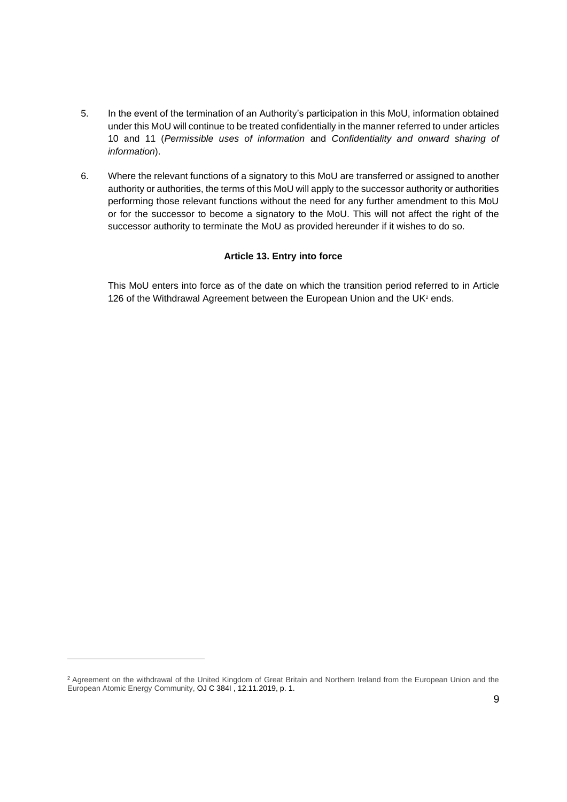- 5. In the event of the termination of an Authority's participation in this MoU, information obtained under this MoU will continue to be treated confidentially in the manner referred to under articles 10 and 11 (*Permissible uses of information* and *Confidentiality and onward sharing of information*).
- 6. Where the relevant functions of a signatory to this MoU are transferred or assigned to another authority or authorities, the terms of this MoU will apply to the successor authority or authorities performing those relevant functions without the need for any further amendment to this MoU or for the successor to become a signatory to the MoU. This will not affect the right of the successor authority to terminate the MoU as provided hereunder if it wishes to do so.

#### **Article 13. Entry into force**

This MoU enters into force as of the date on which the transition period referred to in Article 126 of the Withdrawal Agreement between the European Union and the UK<sup>2</sup> ends.

<sup>&</sup>lt;sup>2</sup> Agreement on the withdrawal of the United Kingdom of Great Britain and Northern Ireland from the European Union and the European Atomic Energy Community, OJ C 384I , 12.11.2019, p. 1.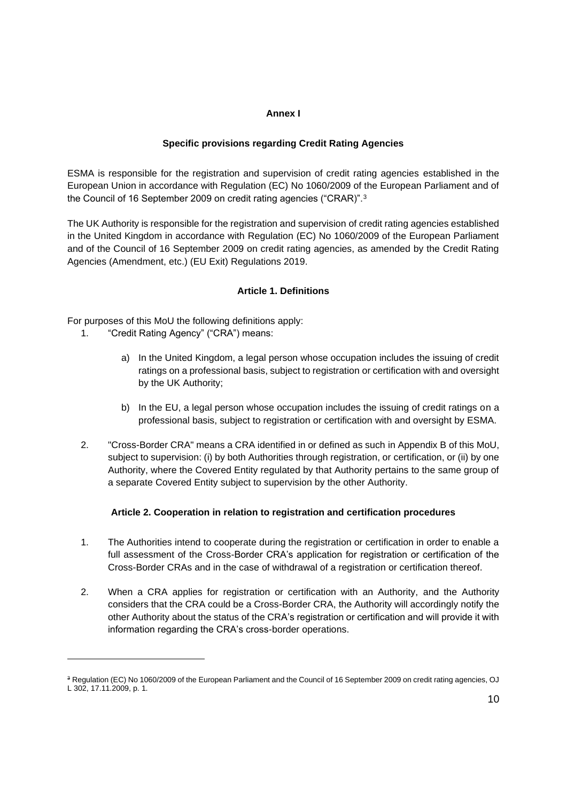#### **Annex I**

#### **Specific provisions regarding Credit Rating Agencies**

ESMA is responsible for the registration and supervision of credit rating agencies established in the European Union in accordance with Regulation (EC) No 1060/2009 of the European Parliament and of the Council of 16 September 2009 on credit rating agencies ("CRAR)".<sup>3</sup>

The UK Authority is responsible for the registration and supervision of credit rating agencies established in the United Kingdom in accordance with Regulation (EC) No 1060/2009 of the European Parliament and of the Council of 16 September 2009 on credit rating agencies, as amended by the Credit Rating Agencies (Amendment, etc.) (EU Exit) Regulations 2019.

#### **Article 1. Definitions**

For purposes of this MoU the following definitions apply:

- 1. "Credit Rating Agency" ("CRA") means:
	- a) In the United Kingdom, a legal person whose occupation includes the issuing of credit ratings on a professional basis, subject to registration or certification with and oversight by the UK Authority;
	- b) In the EU, a legal person whose occupation includes the issuing of credit ratings on a professional basis, subject to registration or certification with and oversight by ESMA.
- 2. "Cross-Border CRA" means a CRA identified in or defined as such in Appendix B of this MoU, subject to supervision: (i) by both Authorities through registration, or certification, or (ii) by one Authority, where the Covered Entity regulated by that Authority pertains to the same group of a separate Covered Entity subject to supervision by the other Authority.

#### **Article 2. Cooperation in relation to registration and certification procedures**

- 1. The Authorities intend to cooperate during the registration or certification in order to enable a full assessment of the Cross-Border CRA's application for registration or certification of the Cross-Border CRAs and in the case of withdrawal of a registration or certification thereof.
- 2. When a CRA applies for registration or certification with an Authority, and the Authority considers that the CRA could be a Cross-Border CRA, the Authority will accordingly notify the other Authority about the status of the CRA's registration or certification and will provide it with information regarding the CRA's cross-border operations.

<sup>&</sup>lt;sup>3</sup> Regulation (EC) No 1060/2009 of the European Parliament and the Council of 16 September 2009 on credit rating agencies, OJ L 302, 17.11.2009, p. 1.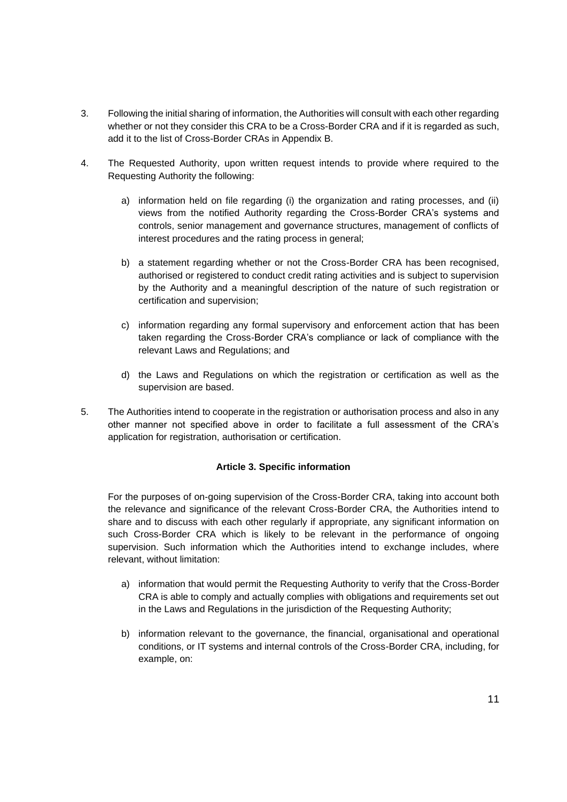- 3. Following the initial sharing of information, the Authorities will consult with each other regarding whether or not they consider this CRA to be a Cross-Border CRA and if it is regarded as such, add it to the list of Cross-Border CRAs in Appendix B.
- 4. The Requested Authority, upon written request intends to provide where required to the Requesting Authority the following:
	- a) information held on file regarding (i) the organization and rating processes, and (ii) views from the notified Authority regarding the Cross-Border CRA's systems and controls, senior management and governance structures, management of conflicts of interest procedures and the rating process in general;
	- b) a statement regarding whether or not the Cross-Border CRA has been recognised, authorised or registered to conduct credit rating activities and is subject to supervision by the Authority and a meaningful description of the nature of such registration or certification and supervision;
	- c) information regarding any formal supervisory and enforcement action that has been taken regarding the Cross-Border CRA's compliance or lack of compliance with the relevant Laws and Regulations; and
	- d) the Laws and Regulations on which the registration or certification as well as the supervision are based.
- 5. The Authorities intend to cooperate in the registration or authorisation process and also in any other manner not specified above in order to facilitate a full assessment of the CRA's application for registration, authorisation or certification.

#### **Article 3. Specific information**

For the purposes of on-going supervision of the Cross-Border CRA, taking into account both the relevance and significance of the relevant Cross-Border CRA, the Authorities intend to share and to discuss with each other regularly if appropriate, any significant information on such Cross-Border CRA which is likely to be relevant in the performance of ongoing supervision. Such information which the Authorities intend to exchange includes, where relevant, without limitation:

- a) information that would permit the Requesting Authority to verify that the Cross-Border CRA is able to comply and actually complies with obligations and requirements set out in the Laws and Regulations in the jurisdiction of the Requesting Authority;
- b) information relevant to the governance, the financial, organisational and operational conditions, or IT systems and internal controls of the Cross-Border CRA, including, for example, on: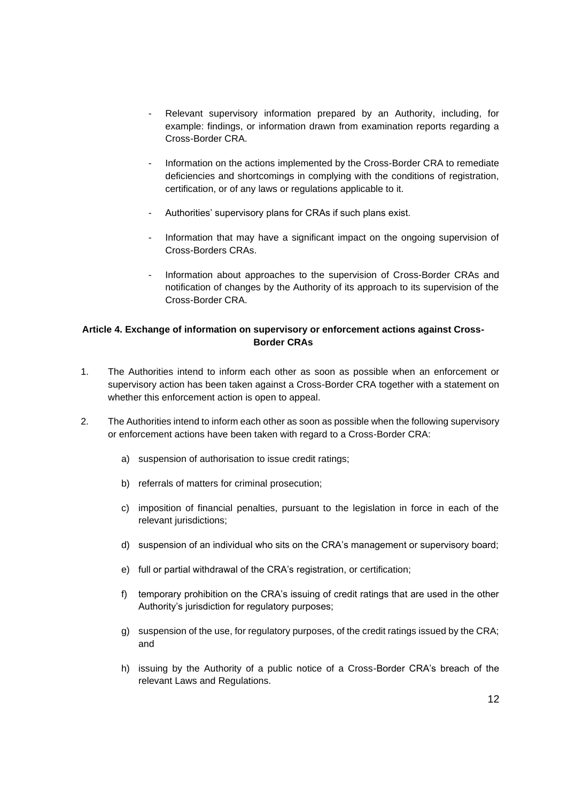- Relevant supervisory information prepared by an Authority, including, for example: findings, or information drawn from examination reports regarding a Cross-Border CRA.
- Information on the actions implemented by the Cross-Border CRA to remediate deficiencies and shortcomings in complying with the conditions of registration, certification, or of any laws or regulations applicable to it.
- Authorities' supervisory plans for CRAs if such plans exist.
- Information that may have a significant impact on the ongoing supervision of Cross-Borders CRAs.
- Information about approaches to the supervision of Cross-Border CRAs and notification of changes by the Authority of its approach to its supervision of the Cross-Border CRA.

### **Article 4. Exchange of information on supervisory or enforcement actions against Cross-Border CRAs**

- 1. The Authorities intend to inform each other as soon as possible when an enforcement or supervisory action has been taken against a Cross-Border CRA together with a statement on whether this enforcement action is open to appeal.
- 2. The Authorities intend to inform each other as soon as possible when the following supervisory or enforcement actions have been taken with regard to a Cross-Border CRA:
	- a) suspension of authorisation to issue credit ratings;
	- b) referrals of matters for criminal prosecution;
	- c) imposition of financial penalties, pursuant to the legislation in force in each of the relevant jurisdictions;
	- d) suspension of an individual who sits on the CRA's management or supervisory board;
	- e) full or partial withdrawal of the CRA's registration, or certification;
	- f) temporary prohibition on the CRA's issuing of credit ratings that are used in the other Authority's jurisdiction for regulatory purposes;
	- g) suspension of the use, for regulatory purposes, of the credit ratings issued by the CRA; and
	- h) issuing by the Authority of a public notice of a Cross-Border CRA's breach of the relevant Laws and Regulations.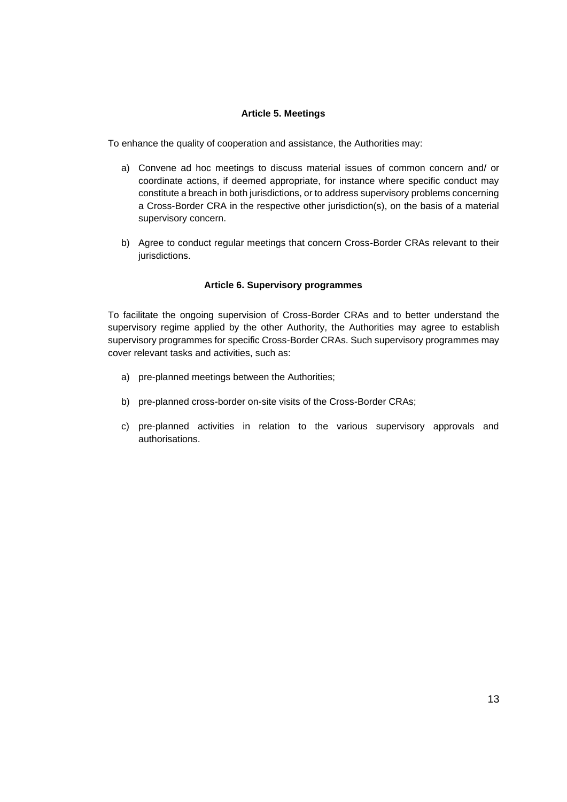#### **Article 5. Meetings**

To enhance the quality of cooperation and assistance, the Authorities may:

- a) Convene ad hoc meetings to discuss material issues of common concern and/ or coordinate actions, if deemed appropriate, for instance where specific conduct may constitute a breach in both jurisdictions, or to address supervisory problems concerning a Cross-Border CRA in the respective other jurisdiction(s), on the basis of a material supervisory concern.
- b) Agree to conduct regular meetings that concern Cross-Border CRAs relevant to their jurisdictions.

#### **Article 6. Supervisory programmes**

To facilitate the ongoing supervision of Cross-Border CRAs and to better understand the supervisory regime applied by the other Authority, the Authorities may agree to establish supervisory programmes for specific Cross-Border CRAs. Such supervisory programmes may cover relevant tasks and activities, such as:

- a) pre-planned meetings between the Authorities;
- b) pre-planned cross-border on-site visits of the Cross-Border CRAs;
- c) pre-planned activities in relation to the various supervisory approvals and authorisations.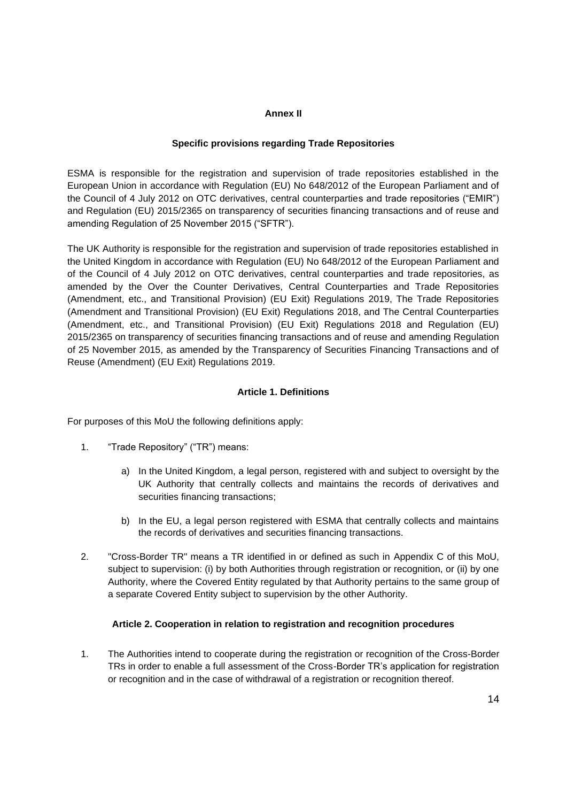#### **Annex II**

#### **Specific provisions regarding Trade Repositories**

ESMA is responsible for the registration and supervision of trade repositories established in the European Union in accordance with Regulation (EU) No 648/2012 of the European Parliament and of the Council of 4 July 2012 on OTC derivatives, central counterparties and trade repositories ("EMIR") and Regulation (EU) 2015/2365 on transparency of securities financing transactions and of reuse and amending Regulation of 25 November 2015 ("SFTR").

The UK Authority is responsible for the registration and supervision of trade repositories established in the United Kingdom in accordance with Regulation (EU) No 648/2012 of the European Parliament and of the Council of 4 July 2012 on OTC derivatives, central counterparties and trade repositories, as amended by the Over the Counter Derivatives, Central Counterparties and Trade Repositories (Amendment, etc., and Transitional Provision) (EU Exit) Regulations 2019, The Trade Repositories (Amendment and Transitional Provision) (EU Exit) Regulations 2018, and The Central Counterparties (Amendment, etc., and Transitional Provision) (EU Exit) Regulations 2018 and Regulation (EU) 2015/2365 on transparency of securities financing transactions and of reuse and amending Regulation of 25 November 2015, as amended by the Transparency of Securities Financing Transactions and of Reuse (Amendment) (EU Exit) Regulations 2019.

#### **Article 1. Definitions**

For purposes of this MoU the following definitions apply:

- 1. "Trade Repository" ("TR") means:
	- a) In the United Kingdom, a legal person, registered with and subject to oversight by the UK Authority that centrally collects and maintains the records of derivatives and securities financing transactions;
	- b) In the EU, a legal person registered with ESMA that centrally collects and maintains the records of derivatives and securities financing transactions.
- 2. "Cross-Border TR" means a TR identified in or defined as such in Appendix C of this MoU, subject to supervision: (i) by both Authorities through registration or recognition, or (ii) by one Authority, where the Covered Entity regulated by that Authority pertains to the same group of a separate Covered Entity subject to supervision by the other Authority.

#### **Article 2. Cooperation in relation to registration and recognition procedures**

1. The Authorities intend to cooperate during the registration or recognition of the Cross-Border TRs in order to enable a full assessment of the Cross-Border TR's application for registration or recognition and in the case of withdrawal of a registration or recognition thereof.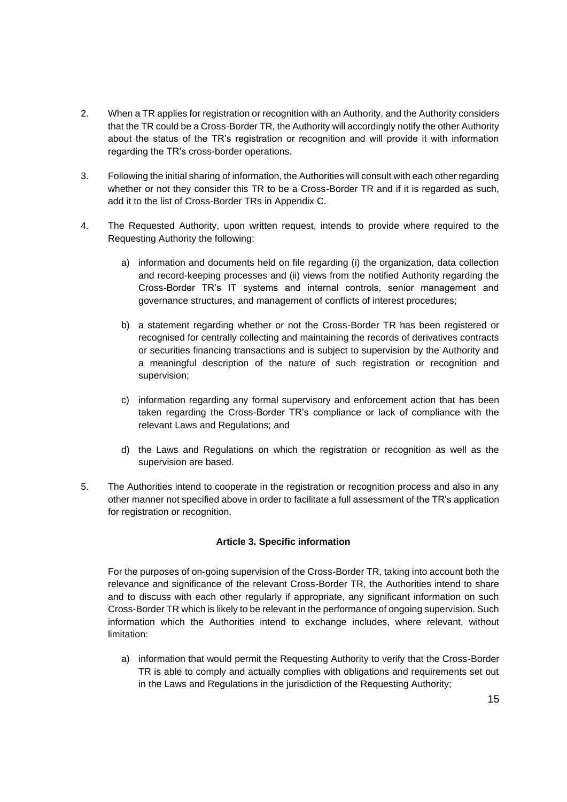- 2. When a TR applies for registration or recognition with an Authority, and the Authority considers that the TR could be a Cross-Border TR, the Authority will accordingly notify the other Authority about the status of the TR's registration or recognition and will provide it with information regarding the TR's cross-border operations.
- 3. Following the initial sharing of information, the Authorities will consult with each other regarding whether or not they consider this TR to be a Cross-Border TR and if it is regarded as such, add it to the list of Cross-Border TRs in Appendix C.
- 4. The Requested Authority, upon written request, intends to provide where required to the Requesting Authority the following:
	- a) information and documents held on file regarding (i) the organization, data collection and record-keeping processes and (ii) views from the notified Authority regarding the Cross-Border TR's IT systems and internal controls, senior management and governance structures, and management of conflicts of interest procedures;
	- b) a statement regarding whether or not the Cross-Border TR has been registered or recognised for centrally collecting and maintaining the records of derivatives contracts or securities financing transactions and is subject to supervision by the Authority and a meaningful description of the nature of such registration or recognition and supervision;
	- c) information regarding any formal supervisory and enforcement action that has been taken regarding the Cross-Border TR's compliance or lack of compliance with the relevant Laws and Regulations; and
	- d) the Laws and Regulations on which the registration or recognition as well as the supervision are based.
- 5. The Authorities intend to cooperate in the registration or recognition process and also in any other manner not specified above in order to facilitate a full assessment of the TR's application for registration or recognition.

#### **Article 3. Specific information**

For the purposes of on-going supervision of the Cross-Border TR, taking into account both the relevance and significance of the relevant Cross-Border TR, the Authorities intend to share and to discuss with each other regularly if appropriate, any significant information on such Cross-Border TR which is likely to be relevant in the performance of ongoing supervision. Such information which the Authorities intend to exchange includes, where relevant, without limitation:

a) information that would permit the Requesting Authority to verify that the Cross-Border TR is able to comply and actually complies with obligations and requirements set out in the Laws and Regulations in the jurisdiction of the Requesting Authority;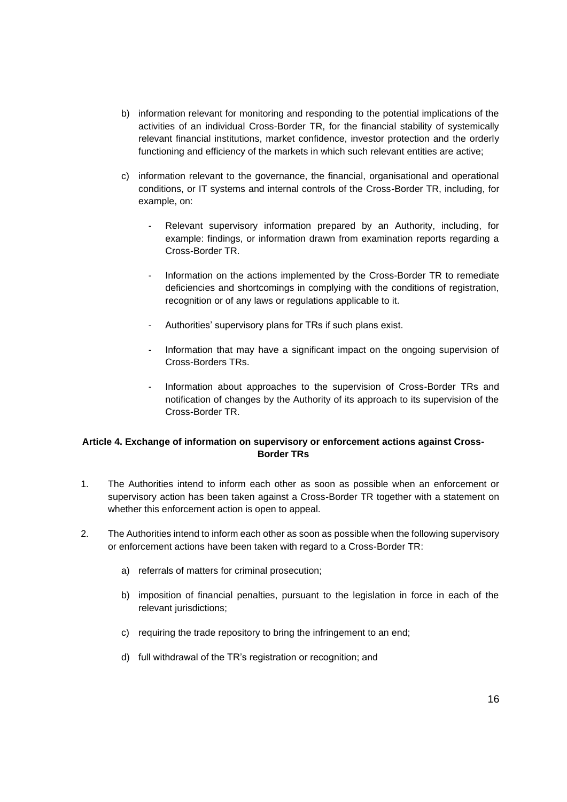- b) information relevant for monitoring and responding to the potential implications of the activities of an individual Cross-Border TR, for the financial stability of systemically relevant financial institutions, market confidence, investor protection and the orderly functioning and efficiency of the markets in which such relevant entities are active;
- c) information relevant to the governance, the financial, organisational and operational conditions, or IT systems and internal controls of the Cross-Border TR, including, for example, on:
	- Relevant supervisory information prepared by an Authority, including, for example: findings, or information drawn from examination reports regarding a Cross-Border TR.
	- Information on the actions implemented by the Cross-Border TR to remediate deficiencies and shortcomings in complying with the conditions of registration, recognition or of any laws or regulations applicable to it.
	- Authorities' supervisory plans for TRs if such plans exist.
	- Information that may have a significant impact on the ongoing supervision of Cross-Borders TRs.
	- Information about approaches to the supervision of Cross-Border TRs and notification of changes by the Authority of its approach to its supervision of the Cross-Border TR.

### **Article 4. Exchange of information on supervisory or enforcement actions against Cross-Border TRs**

- 1. The Authorities intend to inform each other as soon as possible when an enforcement or supervisory action has been taken against a Cross-Border TR together with a statement on whether this enforcement action is open to appeal.
- 2. The Authorities intend to inform each other as soon as possible when the following supervisory or enforcement actions have been taken with regard to a Cross-Border TR:
	- a) referrals of matters for criminal prosecution;
	- b) imposition of financial penalties, pursuant to the legislation in force in each of the relevant jurisdictions;
	- c) requiring the trade repository to bring the infringement to an end;
	- d) full withdrawal of the TR's registration or recognition; and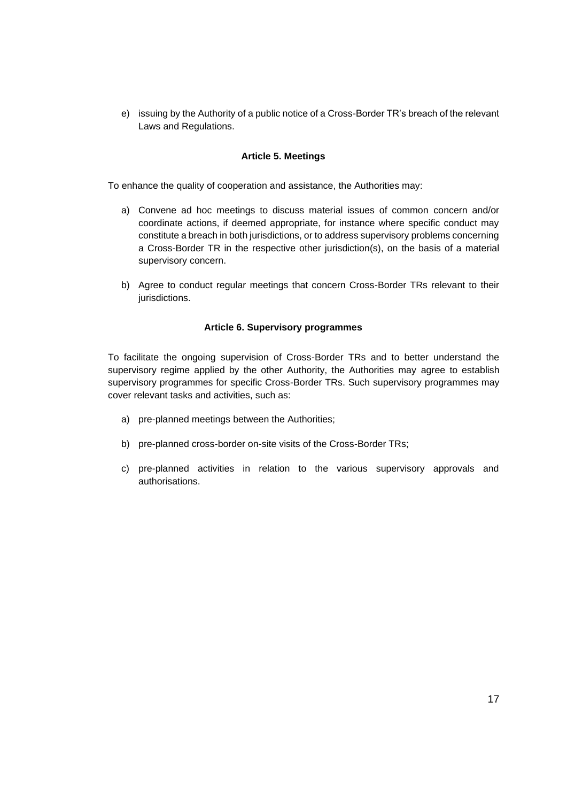e) issuing by the Authority of a public notice of a Cross-Border TR's breach of the relevant Laws and Regulations.

#### **Article 5. Meetings**

To enhance the quality of cooperation and assistance, the Authorities may:

- a) Convene ad hoc meetings to discuss material issues of common concern and/or coordinate actions, if deemed appropriate, for instance where specific conduct may constitute a breach in both jurisdictions, or to address supervisory problems concerning a Cross-Border TR in the respective other jurisdiction(s), on the basis of a material supervisory concern.
- b) Agree to conduct regular meetings that concern Cross-Border TRs relevant to their jurisdictions.

#### **Article 6. Supervisory programmes**

To facilitate the ongoing supervision of Cross-Border TRs and to better understand the supervisory regime applied by the other Authority, the Authorities may agree to establish supervisory programmes for specific Cross-Border TRs. Such supervisory programmes may cover relevant tasks and activities, such as:

- a) pre-planned meetings between the Authorities;
- b) pre-planned cross-border on-site visits of the Cross-Border TRs;
- c) pre-planned activities in relation to the various supervisory approvals and authorisations.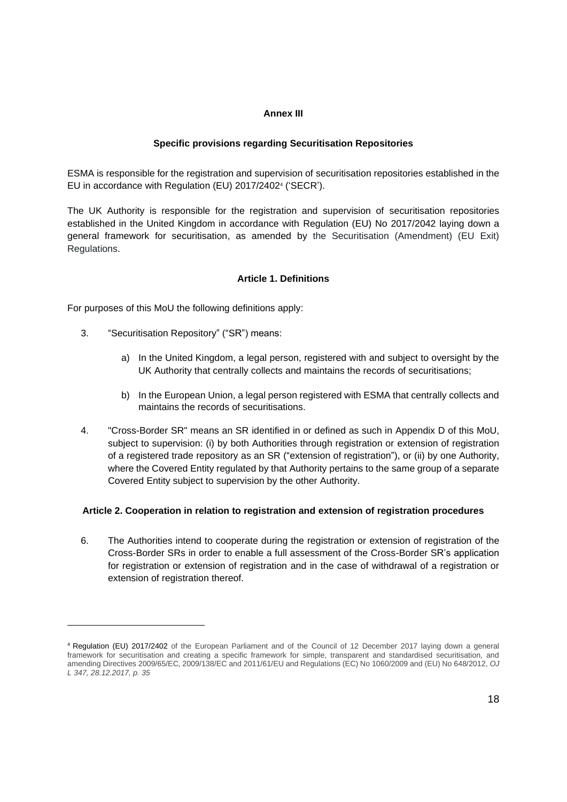#### **Annex III**

#### **Specific provisions regarding Securitisation Repositories**

ESMA is responsible for the registration and supervision of securitisation repositories established in the EU in accordance with Regulation (EU) 2017/2402<sup>4</sup> ('SECR').

The UK Authority is responsible for the registration and supervision of securitisation repositories established in the United Kingdom in accordance with Regulation (EU) No 2017/2042 laying down a general framework for securitisation, as amended by the Securitisation (Amendment) (EU Exit) Regulations.

### **Article 1. Definitions**

For purposes of this MoU the following definitions apply:

- 3. "Securitisation Repository" ("SR") means:
	- a) In the United Kingdom, a legal person, registered with and subject to oversight by the UK Authority that centrally collects and maintains the records of securitisations;
	- b) In the European Union, a legal person registered with ESMA that centrally collects and maintains the records of securitisations.
- 4. "Cross-Border SR" means an SR identified in or defined as such in Appendix D of this MoU, subject to supervision: (i) by both Authorities through registration or extension of registration of a registered trade repository as an SR ("extension of registration"), or (ii) by one Authority, where the Covered Entity regulated by that Authority pertains to the same group of a separate Covered Entity subject to supervision by the other Authority.

#### **Article 2. Cooperation in relation to registration and extension of registration procedures**

6. The Authorities intend to cooperate during the registration or extension of registration of the Cross-Border SRs in order to enable a full assessment of the Cross-Border SR's application for registration or extension of registration and in the case of withdrawal of a registration or extension of registration thereof.

<sup>4</sup> Regulation (EU) 2017/2402 of the European Parliament and of the Council of 12 December 2017 laying down a general framework for securitisation and creating a specific framework for simple, transparent and standardised securitisation, and amending Directives 2009/65/EC, 2009/138/EC and 2011/61/EU and Regulations (EC) No 1060/2009 and (EU) No 648/2012, *OJ L 347, 28.12.2017, p. 35*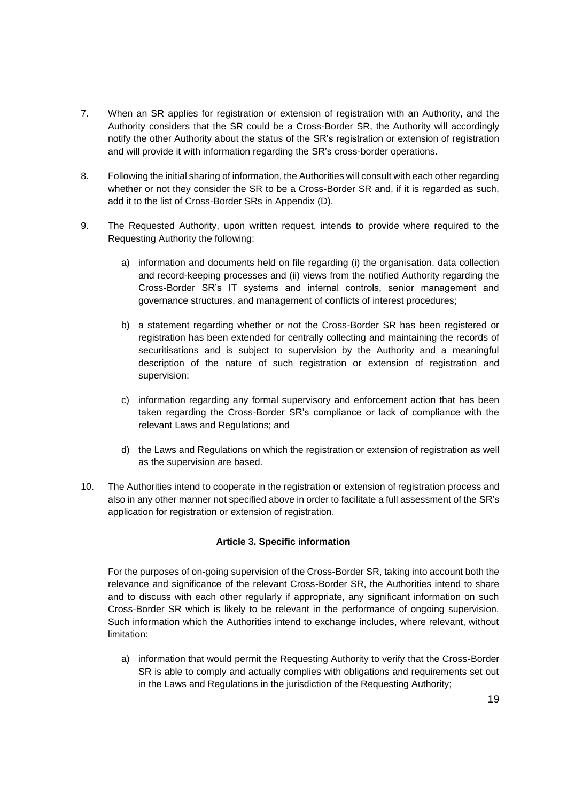- 7. When an SR applies for registration or extension of registration with an Authority, and the Authority considers that the SR could be a Cross-Border SR, the Authority will accordingly notify the other Authority about the status of the SR's registration or extension of registration and will provide it with information regarding the SR's cross-border operations.
- 8. Following the initial sharing of information, the Authorities will consult with each other regarding whether or not they consider the SR to be a Cross-Border SR and, if it is regarded as such, add it to the list of Cross-Border SRs in Appendix (D).
- 9. The Requested Authority, upon written request, intends to provide where required to the Requesting Authority the following:
	- a) information and documents held on file regarding (i) the organisation, data collection and record-keeping processes and (ii) views from the notified Authority regarding the Cross-Border SR's IT systems and internal controls, senior management and governance structures, and management of conflicts of interest procedures;
	- b) a statement regarding whether or not the Cross-Border SR has been registered or registration has been extended for centrally collecting and maintaining the records of securitisations and is subject to supervision by the Authority and a meaningful description of the nature of such registration or extension of registration and supervision;
	- c) information regarding any formal supervisory and enforcement action that has been taken regarding the Cross-Border SR's compliance or lack of compliance with the relevant Laws and Regulations; and
	- d) the Laws and Regulations on which the registration or extension of registration as well as the supervision are based.
- 10. The Authorities intend to cooperate in the registration or extension of registration process and also in any other manner not specified above in order to facilitate a full assessment of the SR's application for registration or extension of registration.

#### **Article 3. Specific information**

For the purposes of on-going supervision of the Cross-Border SR, taking into account both the relevance and significance of the relevant Cross-Border SR, the Authorities intend to share and to discuss with each other regularly if appropriate, any significant information on such Cross-Border SR which is likely to be relevant in the performance of ongoing supervision. Such information which the Authorities intend to exchange includes, where relevant, without limitation:

a) information that would permit the Requesting Authority to verify that the Cross-Border SR is able to comply and actually complies with obligations and requirements set out in the Laws and Regulations in the jurisdiction of the Requesting Authority;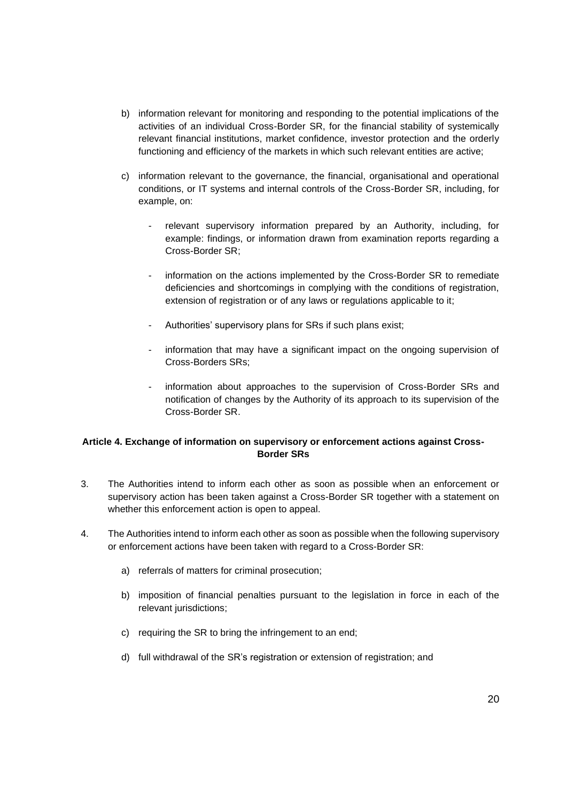- b) information relevant for monitoring and responding to the potential implications of the activities of an individual Cross-Border SR, for the financial stability of systemically relevant financial institutions, market confidence, investor protection and the orderly functioning and efficiency of the markets in which such relevant entities are active;
- c) information relevant to the governance, the financial, organisational and operational conditions, or IT systems and internal controls of the Cross-Border SR, including, for example, on:
	- relevant supervisory information prepared by an Authority, including, for example: findings, or information drawn from examination reports regarding a Cross-Border SR;
	- information on the actions implemented by the Cross-Border SR to remediate deficiencies and shortcomings in complying with the conditions of registration, extension of registration or of any laws or regulations applicable to it;
	- Authorities' supervisory plans for SRs if such plans exist;
	- information that may have a significant impact on the ongoing supervision of Cross-Borders SRs;
	- information about approaches to the supervision of Cross-Border SRs and notification of changes by the Authority of its approach to its supervision of the Cross-Border SR.

### **Article 4. Exchange of information on supervisory or enforcement actions against Cross-Border SRs**

- 3. The Authorities intend to inform each other as soon as possible when an enforcement or supervisory action has been taken against a Cross-Border SR together with a statement on whether this enforcement action is open to appeal.
- 4. The Authorities intend to inform each other as soon as possible when the following supervisory or enforcement actions have been taken with regard to a Cross-Border SR:
	- a) referrals of matters for criminal prosecution;
	- b) imposition of financial penalties pursuant to the legislation in force in each of the relevant jurisdictions;
	- c) requiring the SR to bring the infringement to an end;
	- d) full withdrawal of the SR's registration or extension of registration; and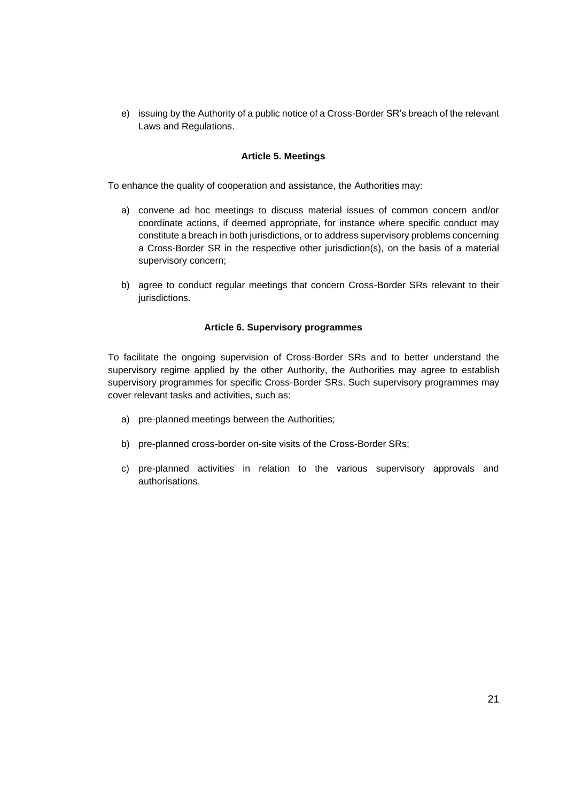e) issuing by the Authority of a public notice of a Cross-Border SR's breach of the relevant Laws and Regulations.

#### **Article 5. Meetings**

To enhance the quality of cooperation and assistance, the Authorities may:

- a) convene ad hoc meetings to discuss material issues of common concern and/or coordinate actions, if deemed appropriate, for instance where specific conduct may constitute a breach in both jurisdictions, or to address supervisory problems concerning a Cross-Border SR in the respective other jurisdiction(s), on the basis of a material supervisory concern;
- b) agree to conduct regular meetings that concern Cross-Border SRs relevant to their jurisdictions.

#### **Article 6. Supervisory programmes**

To facilitate the ongoing supervision of Cross-Border SRs and to better understand the supervisory regime applied by the other Authority, the Authorities may agree to establish supervisory programmes for specific Cross-Border SRs. Such supervisory programmes may cover relevant tasks and activities, such as:

- a) pre-planned meetings between the Authorities;
- b) pre-planned cross-border on-site visits of the Cross-Border SRs;
- c) pre-planned activities in relation to the various supervisory approvals and authorisations.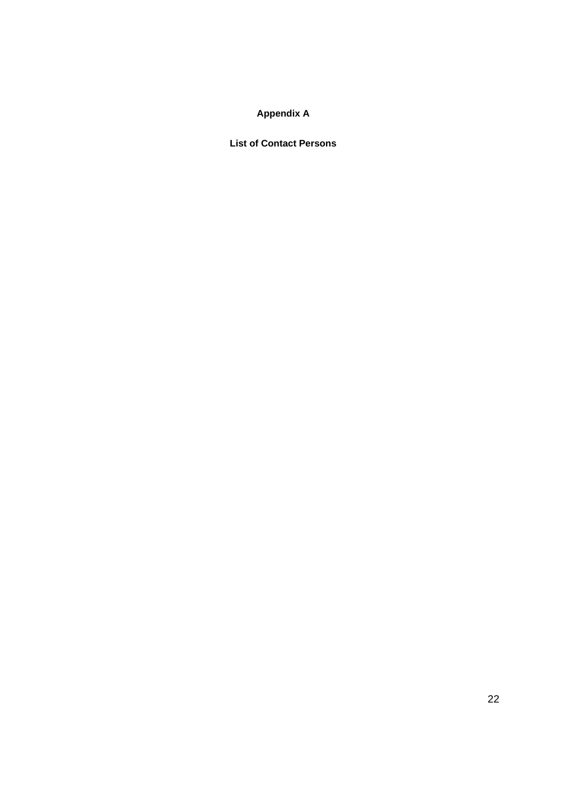# **Appendix A**

**List of Contact Persons**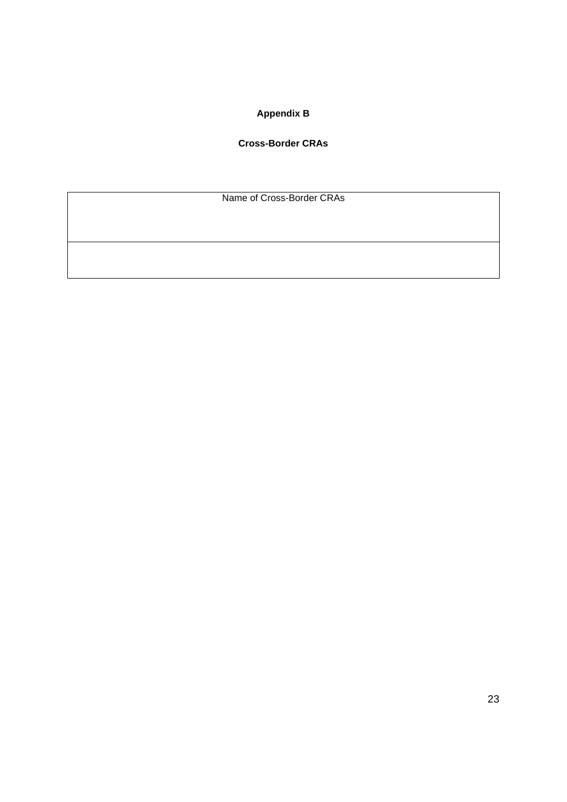# **Appendix B**

### **Cross-Border CRAs**

Name of Cross-Border CRAs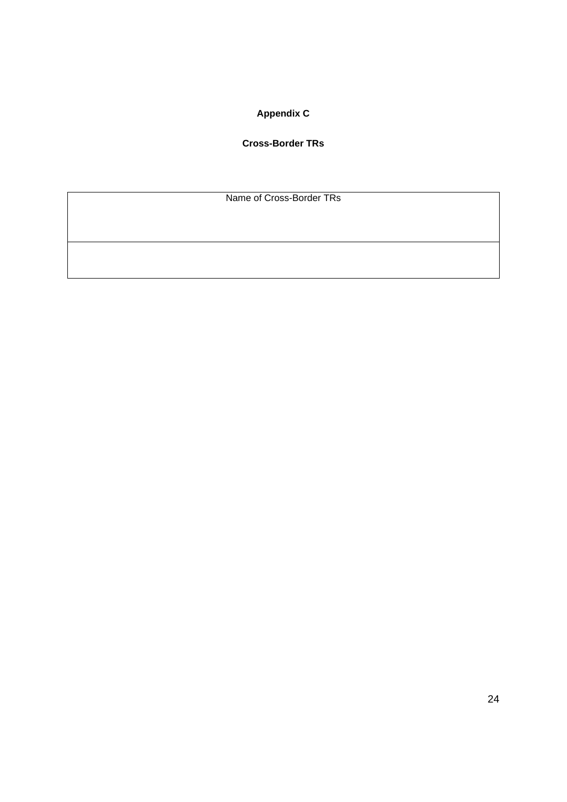# **Appendix C**

### **Cross-Border TRs**

Name of Cross-Border TRs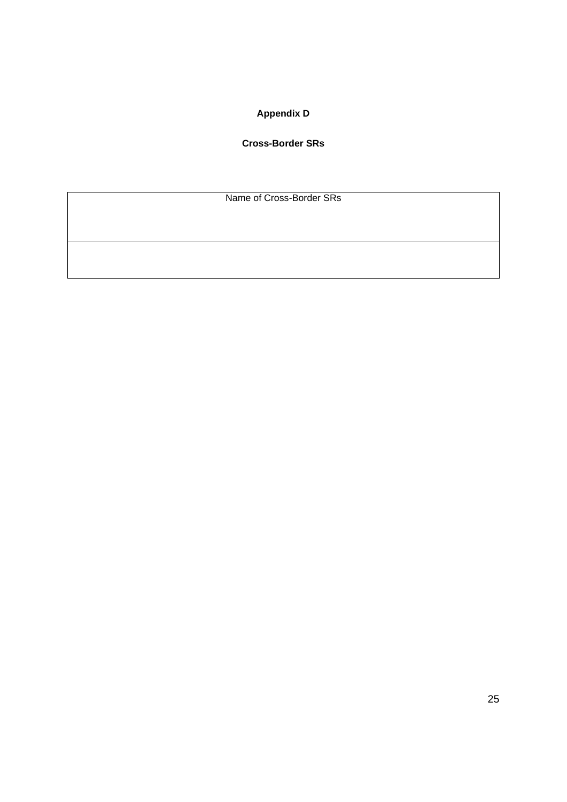# **Appendix D**

### **Cross-Border SRs**

Name of Cross-Border SRs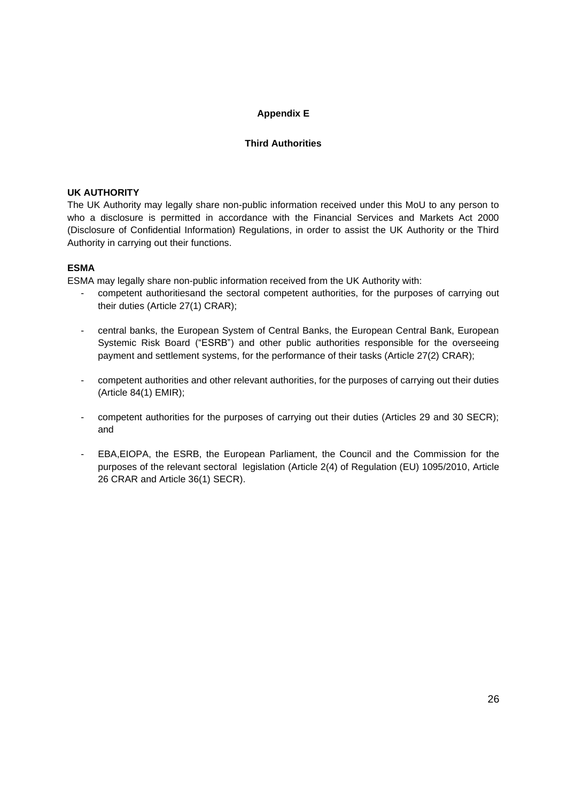#### **Appendix E**

#### **Third Authorities**

#### **UK AUTHORITY**

The UK Authority may legally share non-public information received under this MoU to any person to who a disclosure is permitted in accordance with the Financial Services and Markets Act 2000 (Disclosure of Confidential Information) Regulations, in order to assist the UK Authority or the Third Authority in carrying out their functions.

#### **ESMA**

ESMA may legally share non-public information received from the UK Authority with:

- competent authoritiesand the sectoral competent authorities, for the purposes of carrying out their duties (Article 27(1) CRAR);
- central banks, the European System of Central Banks, the European Central Bank, European Systemic Risk Board ("ESRB") and other public authorities responsible for the overseeing payment and settlement systems, for the performance of their tasks (Article 27(2) CRAR);
- competent authorities and other relevant authorities, for the purposes of carrying out their duties (Article 84(1) EMIR);
- competent authorities for the purposes of carrying out their duties (Articles 29 and 30 SECR); and
- EBA,EIOPA, the ESRB, the European Parliament, the Council and the Commission for the purposes of the relevant sectoral legislation (Article 2(4) of Regulation (EU) 1095/2010, Article 26 CRAR and Article 36(1) SECR).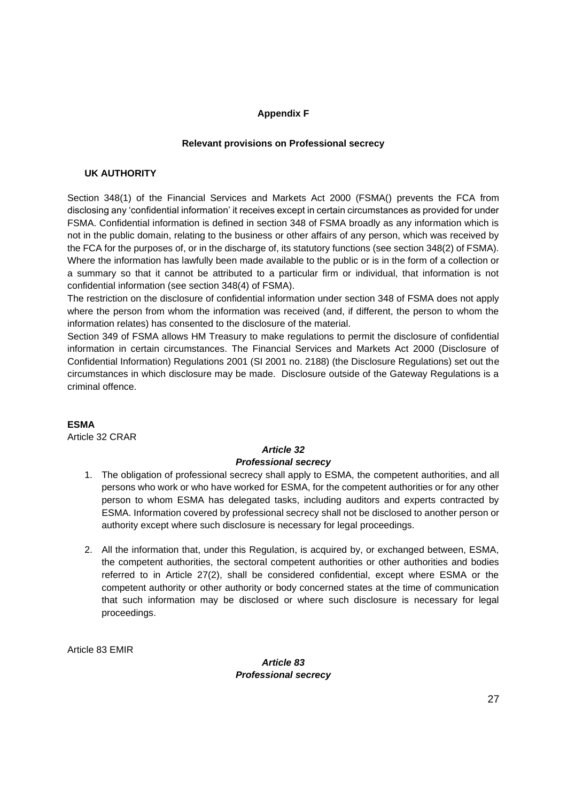#### **Appendix F**

#### **Relevant provisions on Professional secrecy**

#### **UK AUTHORITY**

Section 348(1) of the Financial Services and Markets Act 2000 (FSMA() prevents the FCA from disclosing any 'confidential information' it receives except in certain circumstances as provided for under FSMA. Confidential information is defined in section 348 of FSMA broadly as any information which is not in the public domain, relating to the business or other affairs of any person, which was received by the FCA for the purposes of, or in the discharge of, its statutory functions (see section 348(2) of FSMA). Where the information has lawfully been made available to the public or is in the form of a collection or a summary so that it cannot be attributed to a particular firm or individual, that information is not confidential information (see section 348(4) of FSMA).

The restriction on the disclosure of confidential information under section 348 of FSMA does not apply where the person from whom the information was received (and, if different, the person to whom the information relates) has consented to the disclosure of the material.

Section 349 of FSMA allows HM Treasury to make regulations to permit the disclosure of confidential information in certain circumstances. The Financial Services and Markets Act 2000 (Disclosure of Confidential Information) Regulations 2001 (SI 2001 no. 2188) (the Disclosure Regulations) set out the circumstances in which disclosure may be made. Disclosure outside of the Gateway Regulations is a criminal offence.

#### **ESMA**

Article 32 CRAR

# *Article 32*

#### *Professional secrecy*

- 1. The obligation of professional secrecy shall apply to ESMA, the competent authorities, and all persons who work or who have worked for ESMA, for the competent authorities or for any other person to whom ESMA has delegated tasks, including auditors and experts contracted by ESMA. Information covered by professional secrecy shall not be disclosed to another person or authority except where such disclosure is necessary for legal proceedings.
- 2. All the information that, under this Regulation, is acquired by, or exchanged between, ESMA, the competent authorities, the sectoral competent authorities or other authorities and bodies referred to in Article 27(2), shall be considered confidential, except where ESMA or the competent authority or other authority or body concerned states at the time of communication that such information may be disclosed or where such disclosure is necessary for legal proceedings.

Article 83 EMIR

### *Article 83 Professional secrecy*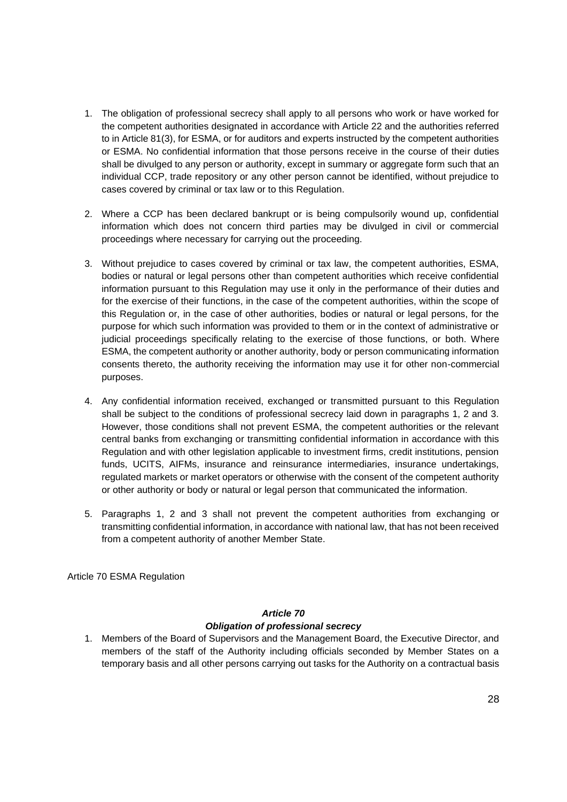- 1. The obligation of professional secrecy shall apply to all persons who work or have worked for the competent authorities designated in accordance with Article 22 and the authorities referred to in Article 81(3), for ESMA, or for auditors and experts instructed by the competent authorities or ESMA. No confidential information that those persons receive in the course of their duties shall be divulged to any person or authority, except in summary or aggregate form such that an individual CCP, trade repository or any other person cannot be identified, without prejudice to cases covered by criminal or tax law or to this Regulation.
- 2. Where a CCP has been declared bankrupt or is being compulsorily wound up, confidential information which does not concern third parties may be divulged in civil or commercial proceedings where necessary for carrying out the proceeding.
- 3. Without prejudice to cases covered by criminal or tax law, the competent authorities, ESMA, bodies or natural or legal persons other than competent authorities which receive confidential information pursuant to this Regulation may use it only in the performance of their duties and for the exercise of their functions, in the case of the competent authorities, within the scope of this Regulation or, in the case of other authorities, bodies or natural or legal persons, for the purpose for which such information was provided to them or in the context of administrative or judicial proceedings specifically relating to the exercise of those functions, or both. Where ESMA, the competent authority or another authority, body or person communicating information consents thereto, the authority receiving the information may use it for other non-commercial purposes.
- 4. Any confidential information received, exchanged or transmitted pursuant to this Regulation shall be subject to the conditions of professional secrecy laid down in paragraphs 1, 2 and 3. However, those conditions shall not prevent ESMA, the competent authorities or the relevant central banks from exchanging or transmitting confidential information in accordance with this Regulation and with other legislation applicable to investment firms, credit institutions, pension funds, UCITS, AIFMs, insurance and reinsurance intermediaries, insurance undertakings, regulated markets or market operators or otherwise with the consent of the competent authority or other authority or body or natural or legal person that communicated the information.
- 5. Paragraphs 1, 2 and 3 shall not prevent the competent authorities from exchanging or transmitting confidential information, in accordance with national law, that has not been received from a competent authority of another Member State.

Article 70 ESMA Regulation

### *Article 70 Obligation of professional secrecy*

1. Members of the Board of Supervisors and the Management Board, the Executive Director, and members of the staff of the Authority including officials seconded by Member States on a temporary basis and all other persons carrying out tasks for the Authority on a contractual basis